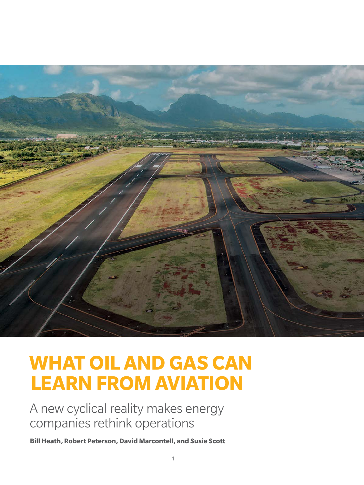

# **WHAT OIL AND GAS CAN LEARN FROM AVIATION**

 A new cyclical reality makes energy companies rethink operations

**Bill Heath, Robert Peterson, David Marcontell, and Susie Scott**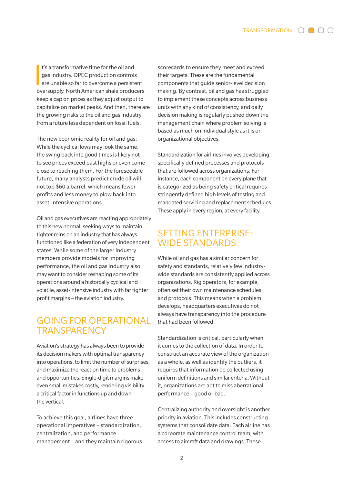$\frac{1}{2}$ t's a transformative time for the oil and gas industry. OPEC production controls are unable so far to overcome a persistent oversupply. North American shale producers keep a cap on prices as they adjust output to capitalize on market peaks. And then, there are the growing risks to the oil and gas industry from a future less dependent on fossil fuels.

The new economic reality for oil and gas: While the cyclical lows may look the same, the swing back into good times is likely not to see prices exceed past highs or even come close to reaching them. For the foreseeable future, many analysts predict crude oil will not top \$60 a barrel, which means fewer profits and less money to plow back into asset-intensive operations.

Oil and gas executives are reacting appropriately to this new normal, seeking ways to maintain tighter reins on an industry that has always functioned like a federation of very independent states. While some of the larger industry members provide models for improving performance, the oil and gas industry also may want to consider reshaping some of its operations around a historcally cyclical and volatile, asset-intensive industry with far tighter profit margins – the aviation industry.

# GOING FOR OPERATIONAL **TRANSPARENCY**

Aviation's strategy has always been to provide its decision makers with optimal transparency into operations, to limit the number of surprises, and maximize the reaction time to problems and opportunities. Single-digit margins make even small mistakes costly, rendering visibility a critical factor in functions up and down the vertical.

To achieve this goal, airlines have three operational imperatives – standardization, centralization, and performance management – and they maintain rigorous scorecards to ensure they meet and exceed their targets. These are the fundamental components that guide senior-level decision making. By contrast, oil and gas has struggled to implement these concepts across business units with any kind of consistency, and daily decision making is regularly pushed down the management chain where problem solving is based as much on individual style as it is on organizational objectives.

Standardization for airlines involves developing specifically defined processes and protocols that are followed across organizations. For instance, each component on every plane that is categorized as being safety critical requires stringently defined high levels of testing and mandated servicing and replacement schedules. These apply in every region, at every facility.

# SETTING ENTERPRISE-WIDE STANDARDS

While oil and gas has a similar concern for safety and standards, relatively few industrywide standards are consistently applied across organizations. Rig operators, for example, often set their own maintenance schedules and protocols. This means when a problem develops, headquarters executives do not always have transparency into the procedure that had been followed.

Standardization is critical, particularly when it comes to the collection of data. In order to construct an accurate view of the organization as a whole, as well as identify the outliers, it requires that information be collected using uniform definitions and similar criteria. Without it, organizations are apt to miss aberrational performance – good or bad.

Centralizing authority and oversight is another priority in aviation. This includes constructing systems that consolidate data. Each airline has a corporate maintenance control team, with access to aircraft data and drawings. These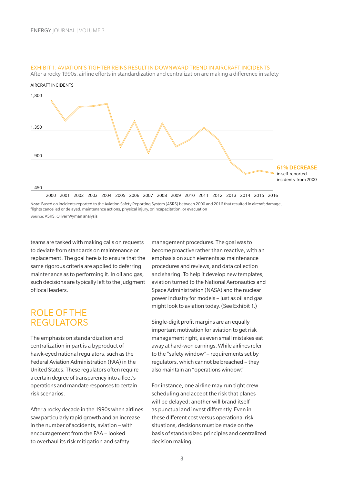

#### EXHIBIT 1: AVIATION'S TIGHTER REINS RESULT IN DOWNWARD TREND IN AIRCRAFT INCIDENTS

After a rocky 1990s, airline efforts in standardization and centralization are making a difference in safety

Note: Based on incidents reported to the Aviation Safety Reporting System (ASRS) between 2000 and 2016 that resulted in aircraft damage, flights cancelled or delayed, maintenance actions, physical injury, or incapacitation, or evacuation Source: ASRS, Oliver Wyman analysis

teams are tasked with making calls on requests to deviate from standards on maintenance or replacement. The goal here is to ensure that the same rigorous criteria are applied to deferring maintenance as to performing it. In oil and gas, such decisions are typically left to the judgment of local leaders.

## ROLE OF THE **REGULATORS**

The emphasis on standardization and centralization in part is a byproduct of hawk-eyed national regulators, such as the Federal Aviation Administration (FAA) in the United States. These regulators often require a certain degree of transparency into a fleet's operations and mandate responses to certain risk scenarios.

After a rocky decade in the 1990s when airlines saw particularly rapid growth and an increase in the number of accidents, aviation – with encouragement from the FAA – looked to overhaul its risk mitigation and safety

management procedures. The goal was to become proactive rather than reactive, with an emphasis on such elements as maintenance procedures and reviews, and data collection and sharing. To help it develop new templates, aviation turned to the National Aeronautics and Space Administration (NASA) and the nuclear power industry for models – just as oil and gas might look to aviation today. (See Exhibit 1.)

Single-digit profit margins are an equally important motivation for aviation to get risk management right, as even small mistakes eat away at hard-won earnings. While airlines refer to the "safety window"– requirements set by regulators, which cannot be breached – they also maintain an "operations window."

For instance, one airline may run tight crew scheduling and accept the risk that planes will be delayed; another will brand itself as punctual and invest differently. Even in these different cost versus operational risk situations, decisions must be made on the basis of standardized principles and centralized decision making.